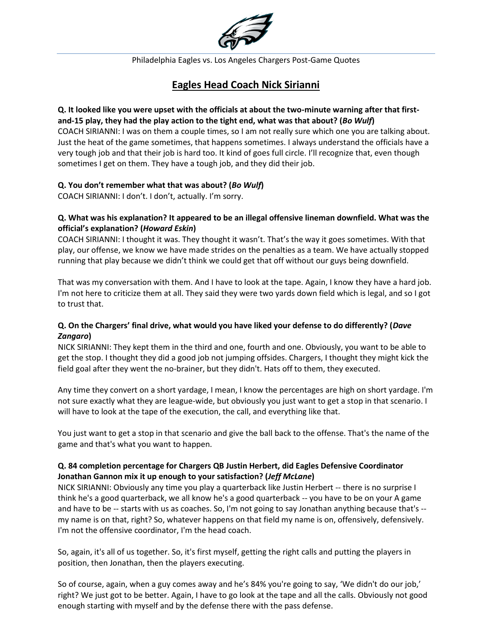

# **Eagles Head Coach Nick Sirianni**

#### **Q. It looked like you were upset with the officials at about the two-minute warning after that firstand-15 play, they had the play action to the tight end, what was that about? (***Bo Wulf***)**

COACH SIRIANNI: I was on them a couple times, so I am not really sure which one you are talking about. Just the heat of the game sometimes, that happens sometimes. I always understand the officials have a very tough job and that their job is hard too. It kind of goes full circle. I'll recognize that, even though sometimes I get on them. They have a tough job, and they did their job.

## **Q. You don't remember what that was about? (***Bo Wulf***)**

COACH SIRIANNI: I don't. I don't, actually. I'm sorry.

### **Q. What was his explanation? It appeared to be an illegal offensive lineman downfield. What was the official's explanation? (***Howard Eskin***)**

COACH SIRIANNI: I thought it was. They thought it wasn't. That's the way it goes sometimes. With that play, our offense, we know we have made strides on the penalties as a team. We have actually stopped running that play because we didn't think we could get that off without our guys being downfield.

That was my conversation with them. And I have to look at the tape. Again, I know they have a hard job. I'm not here to criticize them at all. They said they were two yards down field which is legal, and so I got to trust that.

## **Q. On the Chargers' final drive, what would you have liked your defense to do differently? (***Dave Zangaro***)**

NICK SIRIANNI: They kept them in the third and one, fourth and one. Obviously, you want to be able to get the stop. I thought they did a good job not jumping offsides. Chargers, I thought they might kick the field goal after they went the no-brainer, but they didn't. Hats off to them, they executed.

Any time they convert on a short yardage, I mean, I know the percentages are high on short yardage. I'm not sure exactly what they are league-wide, but obviously you just want to get a stop in that scenario. I will have to look at the tape of the execution, the call, and everything like that.

You just want to get a stop in that scenario and give the ball back to the offense. That's the name of the game and that's what you want to happen.

## **Q. 84 completion percentage for Chargers QB Justin Herbert, did Eagles Defensive Coordinator Jonathan Gannon mix it up enough to your satisfaction? (***Jeff McLane***)**

NICK SIRIANNI: Obviously any time you play a quarterback like Justin Herbert -- there is no surprise I think he's a good quarterback, we all know he's a good quarterback -- you have to be on your A game and have to be -- starts with us as coaches. So, I'm not going to say Jonathan anything because that's - my name is on that, right? So, whatever happens on that field my name is on, offensively, defensively. I'm not the offensive coordinator, I'm the head coach.

So, again, it's all of us together. So, it's first myself, getting the right calls and putting the players in position, then Jonathan, then the players executing.

So of course, again, when a guy comes away and he's 84% you're going to say, 'We didn't do our job,' right? We just got to be better. Again, I have to go look at the tape and all the calls. Obviously not good enough starting with myself and by the defense there with the pass defense.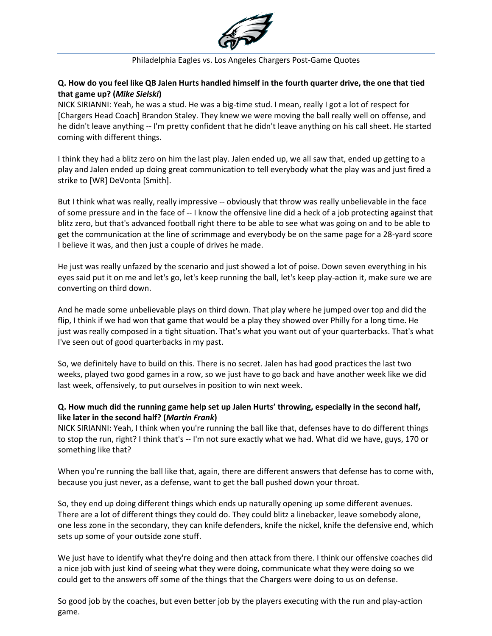

## **Q. How do you feel like QB Jalen Hurts handled himself in the fourth quarter drive, the one that tied that game up? (***Mike Sielski***)**

NICK SIRIANNI: Yeah, he was a stud. He was a big-time stud. I mean, really I got a lot of respect for [Chargers Head Coach] Brandon Staley. They knew we were moving the ball really well on offense, and he didn't leave anything -- I'm pretty confident that he didn't leave anything on his call sheet. He started coming with different things.

I think they had a blitz zero on him the last play. Jalen ended up, we all saw that, ended up getting to a play and Jalen ended up doing great communication to tell everybody what the play was and just fired a strike to [WR] DeVonta [Smith].

But I think what was really, really impressive -- obviously that throw was really unbelievable in the face of some pressure and in the face of -- I know the offensive line did a heck of a job protecting against that blitz zero, but that's advanced football right there to be able to see what was going on and to be able to get the communication at the line of scrimmage and everybody be on the same page for a 28-yard score I believe it was, and then just a couple of drives he made.

He just was really unfazed by the scenario and just showed a lot of poise. Down seven everything in his eyes said put it on me and let's go, let's keep running the ball, let's keep play-action it, make sure we are converting on third down.

And he made some unbelievable plays on third down. That play where he jumped over top and did the flip, I think if we had won that game that would be a play they showed over Philly for a long time. He just was really composed in a tight situation. That's what you want out of your quarterbacks. That's what I've seen out of good quarterbacks in my past.

So, we definitely have to build on this. There is no secret. Jalen has had good practices the last two weeks, played two good games in a row, so we just have to go back and have another week like we did last week, offensively, to put ourselves in position to win next week.

## **Q. How much did the running game help set up Jalen Hurts' throwing, especially in the second half, like later in the second half? (***Martin Frank***)**

NICK SIRIANNI: Yeah, I think when you're running the ball like that, defenses have to do different things to stop the run, right? I think that's -- I'm not sure exactly what we had. What did we have, guys, 170 or something like that?

When you're running the ball like that, again, there are different answers that defense has to come with, because you just never, as a defense, want to get the ball pushed down your throat.

So, they end up doing different things which ends up naturally opening up some different avenues. There are a lot of different things they could do. They could blitz a linebacker, leave somebody alone, one less zone in the secondary, they can knife defenders, knife the nickel, knife the defensive end, which sets up some of your outside zone stuff.

We just have to identify what they're doing and then attack from there. I think our offensive coaches did a nice job with just kind of seeing what they were doing, communicate what they were doing so we could get to the answers off some of the things that the Chargers were doing to us on defense.

So good job by the coaches, but even better job by the players executing with the run and play-action game.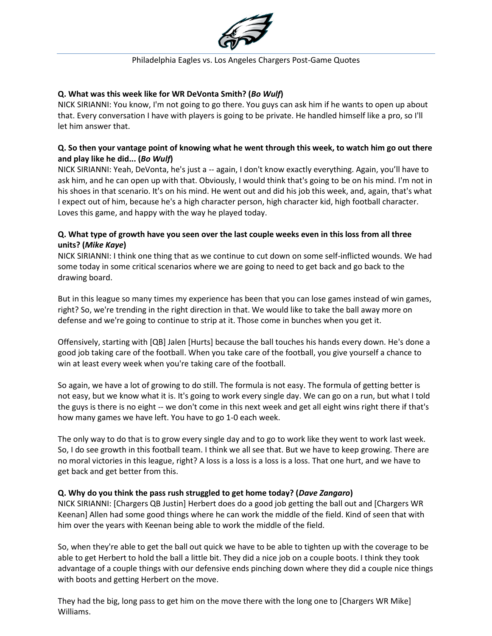

### **Q. What was this week like for WR DeVonta Smith? (***Bo Wulf***)**

NICK SIRIANNI: You know, I'm not going to go there. You guys can ask him if he wants to open up about that. Every conversation I have with players is going to be private. He handled himself like a pro, so I'll let him answer that.

### **Q. So then your vantage point of knowing what he went through this week, to watch him go out there and play like he did... (***Bo Wulf***)**

NICK SIRIANNI: Yeah, DeVonta, he's just a -- again, I don't know exactly everything. Again, you'll have to ask him, and he can open up with that. Obviously, I would think that's going to be on his mind. I'm not in his shoes in that scenario. It's on his mind. He went out and did his job this week, and, again, that's what I expect out of him, because he's a high character person, high character kid, high football character. Loves this game, and happy with the way he played today.

## **Q. What type of growth have you seen over the last couple weeks even in this loss from all three units? (***Mike Kaye***)**

NICK SIRIANNI: I think one thing that as we continue to cut down on some self-inflicted wounds. We had some today in some critical scenarios where we are going to need to get back and go back to the drawing board.

But in this league so many times my experience has been that you can lose games instead of win games, right? So, we're trending in the right direction in that. We would like to take the ball away more on defense and we're going to continue to strip at it. Those come in bunches when you get it.

Offensively, starting with [QB] Jalen [Hurts] because the ball touches his hands every down. He's done a good job taking care of the football. When you take care of the football, you give yourself a chance to win at least every week when you're taking care of the football.

So again, we have a lot of growing to do still. The formula is not easy. The formula of getting better is not easy, but we know what it is. It's going to work every single day. We can go on a run, but what I told the guys is there is no eight -- we don't come in this next week and get all eight wins right there if that's how many games we have left. You have to go 1-0 each week.

The only way to do that is to grow every single day and to go to work like they went to work last week. So, I do see growth in this football team. I think we all see that. But we have to keep growing. There are no moral victories in this league, right? A loss is a loss is a loss is a loss. That one hurt, and we have to get back and get better from this.

## **Q. Why do you think the pass rush struggled to get home today? (***Dave Zangaro***)**

NICK SIRIANNI: [Chargers QB Justin] Herbert does do a good job getting the ball out and [Chargers WR Keenan] Allen had some good things where he can work the middle of the field. Kind of seen that with him over the years with Keenan being able to work the middle of the field.

So, when they're able to get the ball out quick we have to be able to tighten up with the coverage to be able to get Herbert to hold the ball a little bit. They did a nice job on a couple boots. I think they took advantage of a couple things with our defensive ends pinching down where they did a couple nice things with boots and getting Herbert on the move.

They had the big, long pass to get him on the move there with the long one to [Chargers WR Mike] Williams.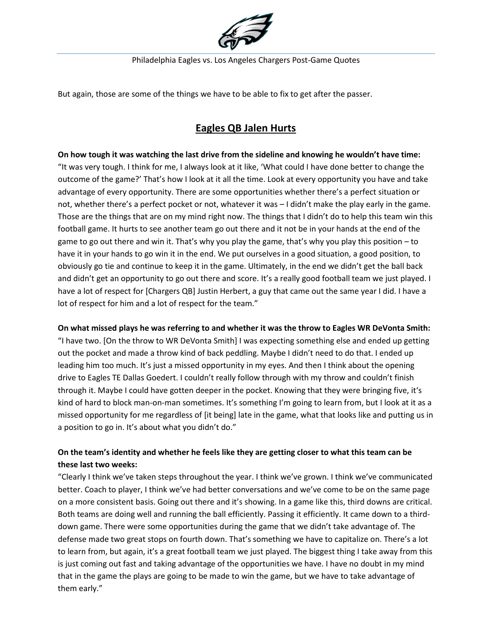

But again, those are some of the things we have to be able to fix to get after the passer.

# **Eagles QB Jalen Hurts**

**On how tough it was watching the last drive from the sideline and knowing he wouldn't have time:** "It was very tough. I think for me, I always look at it like, 'What could I have done better to change the outcome of the game?' That's how I look at it all the time. Look at every opportunity you have and take advantage of every opportunity. There are some opportunities whether there's a perfect situation or not, whether there's a perfect pocket or not, whatever it was – I didn't make the play early in the game. Those are the things that are on my mind right now. The things that I didn't do to help this team win this football game. It hurts to see another team go out there and it not be in your hands at the end of the game to go out there and win it. That's why you play the game, that's why you play this position – to have it in your hands to go win it in the end. We put ourselves in a good situation, a good position, to obviously go tie and continue to keep it in the game. Ultimately, in the end we didn't get the ball back and didn't get an opportunity to go out there and score. It's a really good football team we just played. I have a lot of respect for [Chargers QB] Justin Herbert, a guy that came out the same year I did. I have a lot of respect for him and a lot of respect for the team."

## **On what missed plays he was referring to and whether it was the throw to Eagles WR DeVonta Smith:**

"I have two. [On the throw to WR DeVonta Smith] I was expecting something else and ended up getting out the pocket and made a throw kind of back peddling. Maybe I didn't need to do that. I ended up leading him too much. It's just a missed opportunity in my eyes. And then I think about the opening drive to Eagles TE Dallas Goedert. I couldn't really follow through with my throw and couldn't finish through it. Maybe I could have gotten deeper in the pocket. Knowing that they were bringing five, it's kind of hard to block man-on-man sometimes. It's something I'm going to learn from, but I look at it as a missed opportunity for me regardless of [it being] late in the game, what that looks like and putting us in a position to go in. It's about what you didn't do."

## **On the team's identity and whether he feels like they are getting closer to what this team can be these last two weeks:**

"Clearly I think we've taken steps throughout the year. I think we've grown. I think we've communicated better. Coach to player, I think we've had better conversations and we've come to be on the same page on a more consistent basis. Going out there and it's showing. In a game like this, third downs are critical. Both teams are doing well and running the ball efficiently. Passing it efficiently. It came down to a thirddown game. There were some opportunities during the game that we didn't take advantage of. The defense made two great stops on fourth down. That's something we have to capitalize on. There's a lot to learn from, but again, it's a great football team we just played. The biggest thing I take away from this is just coming out fast and taking advantage of the opportunities we have. I have no doubt in my mind that in the game the plays are going to be made to win the game, but we have to take advantage of them early."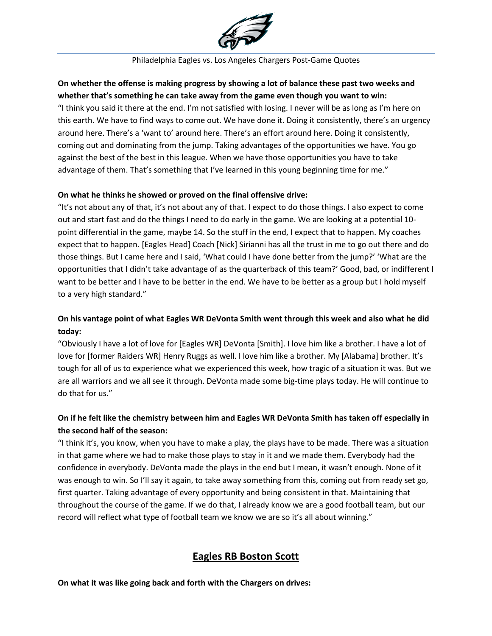

## **On whether the offense is making progress by showing a lot of balance these past two weeks and whether that's something he can take away from the game even though you want to win:**

"I think you said it there at the end. I'm not satisfied with losing. I never will be as long as I'm here on this earth. We have to find ways to come out. We have done it. Doing it consistently, there's an urgency around here. There's a 'want to' around here. There's an effort around here. Doing it consistently, coming out and dominating from the jump. Taking advantages of the opportunities we have. You go against the best of the best in this league. When we have those opportunities you have to take advantage of them. That's something that I've learned in this young beginning time for me."

### **On what he thinks he showed or proved on the final offensive drive:**

"It's not about any of that, it's not about any of that. I expect to do those things. I also expect to come out and start fast and do the things I need to do early in the game. We are looking at a potential 10 point differential in the game, maybe 14. So the stuff in the end, I expect that to happen. My coaches expect that to happen. [Eagles Head] Coach [Nick] Sirianni has all the trust in me to go out there and do those things. But I came here and I said, 'What could I have done better from the jump?' 'What are the opportunities that I didn't take advantage of as the quarterback of this team?' Good, bad, or indifferent I want to be better and I have to be better in the end. We have to be better as a group but I hold myself to a very high standard."

## **On his vantage point of what Eagles WR DeVonta Smith went through this week and also what he did today:**

"Obviously I have a lot of love for [Eagles WR] DeVonta [Smith]. I love him like a brother. I have a lot of love for [former Raiders WR] Henry Ruggs as well. I love him like a brother. My [Alabama] brother. It's tough for all of us to experience what we experienced this week, how tragic of a situation it was. But we are all warriors and we all see it through. DeVonta made some big-time plays today. He will continue to do that for us."

## **On if he felt like the chemistry between him and Eagles WR DeVonta Smith has taken off especially in the second half of the season:**

"I think it's, you know, when you have to make a play, the plays have to be made. There was a situation in that game where we had to make those plays to stay in it and we made them. Everybody had the confidence in everybody. DeVonta made the plays in the end but I mean, it wasn't enough. None of it was enough to win. So I'll say it again, to take away something from this, coming out from ready set go, first quarter. Taking advantage of every opportunity and being consistent in that. Maintaining that throughout the course of the game. If we do that, I already know we are a good football team, but our record will reflect what type of football team we know we are so it's all about winning."

# **Eagles RB Boston Scott**

**On what it was like going back and forth with the Chargers on drives:**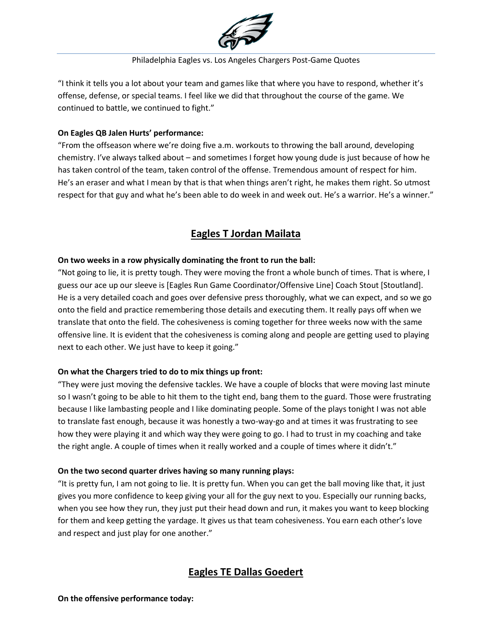

"I think it tells you a lot about your team and games like that where you have to respond, whether it's offense, defense, or special teams. I feel like we did that throughout the course of the game. We continued to battle, we continued to fight."

## **On Eagles QB Jalen Hurts' performance:**

"From the offseason where we're doing five a.m. workouts to throwing the ball around, developing chemistry. I've always talked about – and sometimes I forget how young dude is just because of how he has taken control of the team, taken control of the offense. Tremendous amount of respect for him. He's an eraser and what I mean by that is that when things aren't right, he makes them right. So utmost respect for that guy and what he's been able to do week in and week out. He's a warrior. He's a winner."

# **Eagles T Jordan Mailata**

### **On two weeks in a row physically dominating the front to run the ball:**

"Not going to lie, it is pretty tough. They were moving the front a whole bunch of times. That is where, I guess our ace up our sleeve is [Eagles Run Game Coordinator/Offensive Line] Coach Stout [Stoutland]. He is a very detailed coach and goes over defensive press thoroughly, what we can expect, and so we go onto the field and practice remembering those details and executing them. It really pays off when we translate that onto the field. The cohesiveness is coming together for three weeks now with the same offensive line. It is evident that the cohesiveness is coming along and people are getting used to playing next to each other. We just have to keep it going."

### **On what the Chargers tried to do to mix things up front:**

"They were just moving the defensive tackles. We have a couple of blocks that were moving last minute so I wasn't going to be able to hit them to the tight end, bang them to the guard. Those were frustrating because I like lambasting people and I like dominating people. Some of the plays tonight I was not able to translate fast enough, because it was honestly a two-way-go and at times it was frustrating to see how they were playing it and which way they were going to go. I had to trust in my coaching and take the right angle. A couple of times when it really worked and a couple of times where it didn't."

### **On the two second quarter drives having so many running plays:**

"It is pretty fun, I am not going to lie. It is pretty fun. When you can get the ball moving like that, it just gives you more confidence to keep giving your all for the guy next to you. Especially our running backs, when you see how they run, they just put their head down and run, it makes you want to keep blocking for them and keep getting the yardage. It gives us that team cohesiveness. You earn each other's love and respect and just play for one another."

## **Eagles TE Dallas Goedert**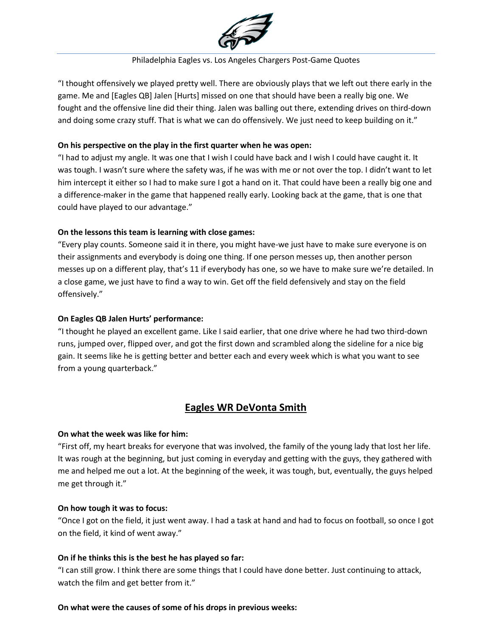

"I thought offensively we played pretty well. There are obviously plays that we left out there early in the game. Me and [Eagles QB] Jalen [Hurts] missed on one that should have been a really big one. We fought and the offensive line did their thing. Jalen was balling out there, extending drives on third-down and doing some crazy stuff. That is what we can do offensively. We just need to keep building on it."

### **On his perspective on the play in the first quarter when he was open:**

"I had to adjust my angle. It was one that I wish I could have back and I wish I could have caught it. It was tough. I wasn't sure where the safety was, if he was with me or not over the top. I didn't want to let him intercept it either so I had to make sure I got a hand on it. That could have been a really big one and a difference-maker in the game that happened really early. Looking back at the game, that is one that could have played to our advantage."

### **On the lessons this team is learning with close games:**

"Every play counts. Someone said it in there, you might have-we just have to make sure everyone is on their assignments and everybody is doing one thing. If one person messes up, then another person messes up on a different play, that's 11 if everybody has one, so we have to make sure we're detailed. In a close game, we just have to find a way to win. Get off the field defensively and stay on the field offensively."

### **On Eagles QB Jalen Hurts' performance:**

"I thought he played an excellent game. Like I said earlier, that one drive where he had two third-down runs, jumped over, flipped over, and got the first down and scrambled along the sideline for a nice big gain. It seems like he is getting better and better each and every week which is what you want to see from a young quarterback."

# **Eagles WR DeVonta Smith**

### **On what the week was like for him:**

"First off, my heart breaks for everyone that was involved, the family of the young lady that lost her life. It was rough at the beginning, but just coming in everyday and getting with the guys, they gathered with me and helped me out a lot. At the beginning of the week, it was tough, but, eventually, the guys helped me get through it."

### **On how tough it was to focus:**

"Once I got on the field, it just went away. I had a task at hand and had to focus on football, so once I got on the field, it kind of went away."

### **On if he thinks this is the best he has played so far:**

"I can still grow. I think there are some things that I could have done better. Just continuing to attack, watch the film and get better from it."

### **On what were the causes of some of his drops in previous weeks:**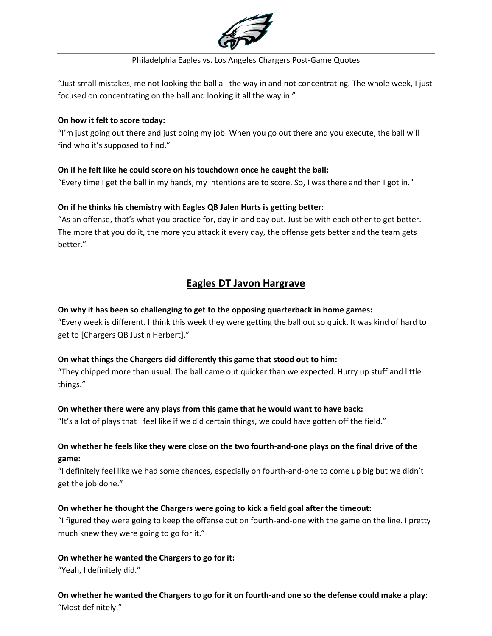

"Just small mistakes, me not looking the ball all the way in and not concentrating. The whole week, I just focused on concentrating on the ball and looking it all the way in."

### **On how it felt to score today:**

"I'm just going out there and just doing my job. When you go out there and you execute, the ball will find who it's supposed to find."

## **On if he felt like he could score on his touchdown once he caught the ball:**

"Every time I get the ball in my hands, my intentions are to score. So, I was there and then I got in."

## **On if he thinks his chemistry with Eagles QB Jalen Hurts is getting better:**

"As an offense, that's what you practice for, day in and day out. Just be with each other to get better. The more that you do it, the more you attack it every day, the offense gets better and the team gets better."

# **Eagles DT Javon Hargrave**

## **On why it has been so challenging to get to the opposing quarterback in home games:**

"Every week is different. I think this week they were getting the ball out so quick. It was kind of hard to get to [Chargers QB Justin Herbert]."

## **On what things the Chargers did differently this game that stood out to him:**

"They chipped more than usual. The ball came out quicker than we expected. Hurry up stuff and little things."

## **On whether there were any plays from this game that he would want to have back:**

"It's a lot of plays that I feel like if we did certain things, we could have gotten off the field."

## **On whether he feels like they were close on the two fourth-and-one plays on the final drive of the game:**

"I definitely feel like we had some chances, especially on fourth-and-one to come up big but we didn't get the job done."

## **On whether he thought the Chargers were going to kick a field goal after the timeout:**

"I figured they were going to keep the offense out on fourth-and-one with the game on the line. I pretty much knew they were going to go for it."

## **On whether he wanted the Chargers to go for it:**

"Yeah, I definitely did."

**On whether he wanted the Chargers to go for it on fourth-and one so the defense could make a play:** "Most definitely."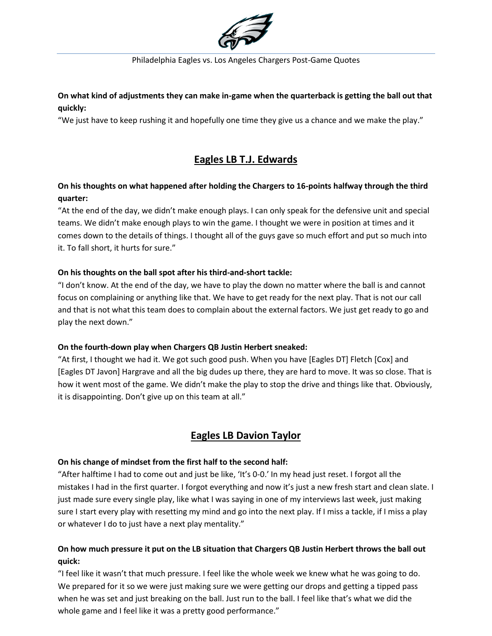

## **On what kind of adjustments they can make in-game when the quarterback is getting the ball out that quickly:**

"We just have to keep rushing it and hopefully one time they give us a chance and we make the play."

# **Eagles LB T.J. Edwards**

## **On his thoughts on what happened after holding the Chargers to 16-points halfway through the third quarter:**

"At the end of the day, we didn't make enough plays. I can only speak for the defensive unit and special teams. We didn't make enough plays to win the game. I thought we were in position at times and it comes down to the details of things. I thought all of the guys gave so much effort and put so much into it. To fall short, it hurts for sure."

## **On his thoughts on the ball spot after his third-and-short tackle:**

"I don't know. At the end of the day, we have to play the down no matter where the ball is and cannot focus on complaining or anything like that. We have to get ready for the next play. That is not our call and that is not what this team does to complain about the external factors. We just get ready to go and play the next down."

## **On the fourth-down play when Chargers QB Justin Herbert sneaked:**

"At first, I thought we had it. We got such good push. When you have [Eagles DT] Fletch [Cox] and [Eagles DT Javon] Hargrave and all the big dudes up there, they are hard to move. It was so close. That is how it went most of the game. We didn't make the play to stop the drive and things like that. Obviously, it is disappointing. Don't give up on this team at all."

## **Eagles LB Davion Taylor**

## **On his change of mindset from the first half to the second half:**

"After halftime I had to come out and just be like, 'It's 0-0.' In my head just reset. I forgot all the mistakes I had in the first quarter. I forgot everything and now it's just a new fresh start and clean slate. I just made sure every single play, like what I was saying in one of my interviews last week, just making sure I start every play with resetting my mind and go into the next play. If I miss a tackle, if I miss a play or whatever I do to just have a next play mentality."

## **On how much pressure it put on the LB situation that Chargers QB Justin Herbert throws the ball out quick:**

"I feel like it wasn't that much pressure. I feel like the whole week we knew what he was going to do. We prepared for it so we were just making sure we were getting our drops and getting a tipped pass when he was set and just breaking on the ball. Just run to the ball. I feel like that's what we did the whole game and I feel like it was a pretty good performance."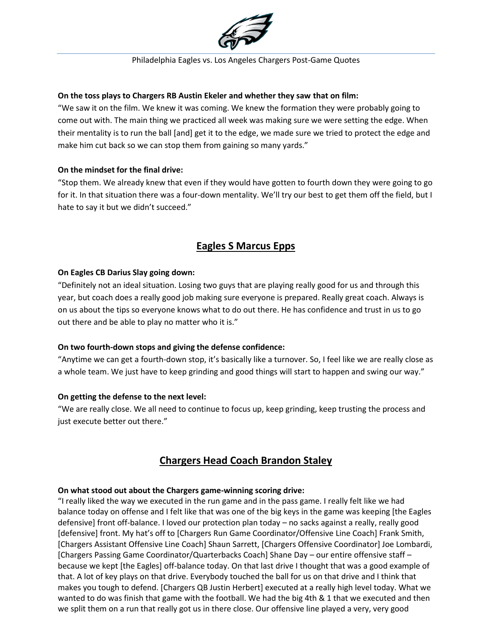

### **On the toss plays to Chargers RB Austin Ekeler and whether they saw that on film:**

"We saw it on the film. We knew it was coming. We knew the formation they were probably going to come out with. The main thing we practiced all week was making sure we were setting the edge. When their mentality is to run the ball [and] get it to the edge, we made sure we tried to protect the edge and make him cut back so we can stop them from gaining so many yards."

### **On the mindset for the final drive:**

"Stop them. We already knew that even if they would have gotten to fourth down they were going to go for it. In that situation there was a four-down mentality. We'll try our best to get them off the field, but I hate to say it but we didn't succeed."

# **Eagles S Marcus Epps**

### **On Eagles CB Darius Slay going down:**

"Definitely not an ideal situation. Losing two guys that are playing really good for us and through this year, but coach does a really good job making sure everyone is prepared. Really great coach. Always is on us about the tips so everyone knows what to do out there. He has confidence and trust in us to go out there and be able to play no matter who it is."

### **On two fourth-down stops and giving the defense confidence:**

"Anytime we can get a fourth-down stop, it's basically like a turnover. So, I feel like we are really close as a whole team. We just have to keep grinding and good things will start to happen and swing our way."

### **On getting the defense to the next level:**

"We are really close. We all need to continue to focus up, keep grinding, keep trusting the process and just execute better out there."

# **Chargers Head Coach Brandon Staley**

### **On what stood out about the Chargers game-winning scoring drive:**

"I really liked the way we executed in the run game and in the pass game. I really felt like we had balance today on offense and I felt like that was one of the big keys in the game was keeping [the Eagles defensive] front off-balance. I loved our protection plan today – no sacks against a really, really good [defensive] front. My hat's off to [Chargers Run Game Coordinator/Offensive Line Coach] Frank Smith, [Chargers Assistant Offensive Line Coach] Shaun Sarrett, [Chargers Offensive Coordinator] Joe Lombardi, [Chargers Passing Game Coordinator/Quarterbacks Coach] Shane Day – our entire offensive staff – because we kept [the Eagles] off-balance today. On that last drive I thought that was a good example of that. A lot of key plays on that drive. Everybody touched the ball for us on that drive and I think that makes you tough to defend. [Chargers QB Justin Herbert] executed at a really high level today. What we wanted to do was finish that game with the football. We had the big 4th & 1 that we executed and then we split them on a run that really got us in there close. Our offensive line played a very, very good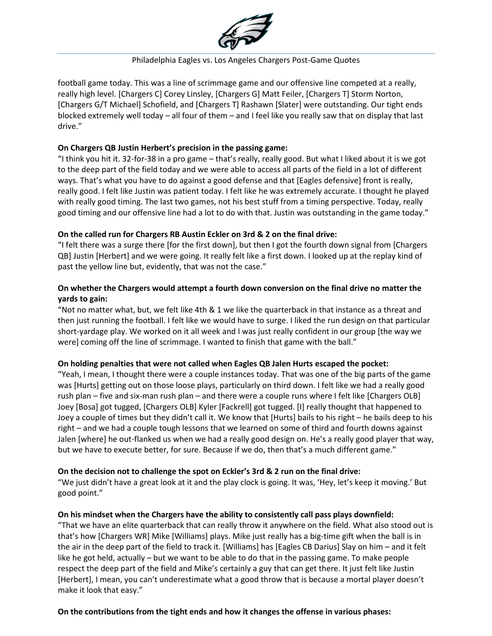

football game today. This was a line of scrimmage game and our offensive line competed at a really, really high level. [Chargers C] Corey Linsley, [Chargers G] Matt Feiler, [Chargers T] Storm Norton, [Chargers G/T Michael] Schofield, and [Chargers T] Rashawn [Slater] were outstanding. Our tight ends blocked extremely well today – all four of them – and I feel like you really saw that on display that last drive."

### **On Chargers QB Justin Herbert's precision in the passing game:**

"I think you hit it. 32-for-38 in a pro game – that's really, really good. But what I liked about it is we got to the deep part of the field today and we were able to access all parts of the field in a lot of different ways. That's what you have to do against a good defense and that [Eagles defensive] front is really, really good. I felt like Justin was patient today. I felt like he was extremely accurate. I thought he played with really good timing. The last two games, not his best stuff from a timing perspective. Today, really good timing and our offensive line had a lot to do with that. Justin was outstanding in the game today."

### **On the called run for Chargers RB Austin Eckler on 3rd & 2 on the final drive:**

"I felt there was a surge there [for the first down], but then I got the fourth down signal from [Chargers QB] Justin [Herbert] and we were going. It really felt like a first down. I looked up at the replay kind of past the yellow line but, evidently, that was not the case."

### **On whether the Chargers would attempt a fourth down conversion on the final drive no matter the yards to gain:**

"Not no matter what, but, we felt like 4th & 1 we like the quarterback in that instance as a threat and then just running the football. I felt like we would have to surge. I liked the run design on that particular short-yardage play. We worked on it all week and I was just really confident in our group [the way we were] coming off the line of scrimmage. I wanted to finish that game with the ball."

### **On holding penalties that were not called when Eagles QB Jalen Hurts escaped the pocket:**

"Yeah, I mean, I thought there were a couple instances today. That was one of the big parts of the game was [Hurts] getting out on those loose plays, particularly on third down. I felt like we had a really good rush plan – five and six-man rush plan – and there were a couple runs where I felt like [Chargers OLB] Joey [Bosa] got tugged, [Chargers OLB] Kyler [Fackrell] got tugged. [I] really thought that happened to Joey a couple of times but they didn't call it. We know that [Hurts] bails to his right – he bails deep to his right – and we had a couple tough lessons that we learned on some of third and fourth downs against Jalen [where] he out-flanked us when we had a really good design on. He's a really good player that way, but we have to execute better, for sure. Because if we do, then that's a much different game."

### **On the decision not to challenge the spot on Eckler's 3rd & 2 run on the final drive:**

"We just didn't have a great look at it and the play clock is going. It was, 'Hey, let's keep it moving.' But good point."

### **On his mindset when the Chargers have the ability to consistently call pass plays downfield:**

"That we have an elite quarterback that can really throw it anywhere on the field. What also stood out is that's how [Chargers WR] Mike [Williams] plays. Mike just really has a big-time gift when the ball is in the air in the deep part of the field to track it. [Williams] has [Eagles CB Darius] Slay on him – and it felt like he got held, actually – but we want to be able to do that in the passing game. To make people respect the deep part of the field and Mike's certainly a guy that can get there. It just felt like Justin [Herbert], I mean, you can't underestimate what a good throw that is because a mortal player doesn't make it look that easy."

### **On the contributions from the tight ends and how it changes the offense in various phases:**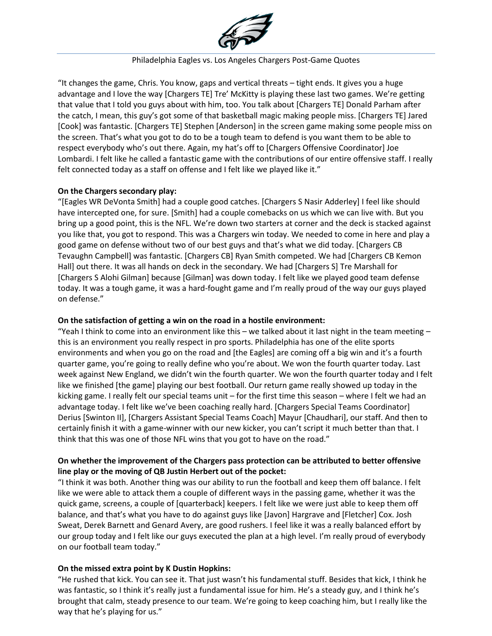

"It changes the game, Chris. You know, gaps and vertical threats – tight ends. It gives you a huge advantage and I love the way [Chargers TE] Tre' McKitty is playing these last two games. We're getting that value that I told you guys about with him, too. You talk about [Chargers TE] Donald Parham after the catch, I mean, this guy's got some of that basketball magic making people miss. [Chargers TE] Jared [Cook] was fantastic. [Chargers TE] Stephen [Anderson] in the screen game making some people miss on the screen. That's what you got to do to be a tough team to defend is you want them to be able to respect everybody who's out there. Again, my hat's off to [Chargers Offensive Coordinator] Joe Lombardi. I felt like he called a fantastic game with the contributions of our entire offensive staff. I really felt connected today as a staff on offense and I felt like we played like it."

### **On the Chargers secondary play:**

"[Eagles WR DeVonta Smith] had a couple good catches. [Chargers S Nasir Adderley] I feel like should have intercepted one, for sure. [Smith] had a couple comebacks on us which we can live with. But you bring up a good point, this is the NFL. We're down two starters at corner and the deck is stacked against you like that, you got to respond. This was a Chargers win today. We needed to come in here and play a good game on defense without two of our best guys and that's what we did today. [Chargers CB Tevaughn Campbell] was fantastic. [Chargers CB] Ryan Smith competed. We had [Chargers CB Kemon Hall] out there. It was all hands on deck in the secondary. We had [Chargers S] Tre Marshall for [Chargers S Alohi Gilman] because [Gilman] was down today. I felt like we played good team defense today. It was a tough game, it was a hard-fought game and I'm really proud of the way our guys played on defense."

### **On the satisfaction of getting a win on the road in a hostile environment:**

"Yeah I think to come into an environment like this – we talked about it last night in the team meeting – this is an environment you really respect in pro sports. Philadelphia has one of the elite sports environments and when you go on the road and [the Eagles] are coming off a big win and it's a fourth quarter game, you're going to really define who you're about. We won the fourth quarter today. Last week against New England, we didn't win the fourth quarter. We won the fourth quarter today and I felt like we finished [the game] playing our best football. Our return game really showed up today in the kicking game. I really felt our special teams unit – for the first time this season – where I felt we had an advantage today. I felt like we've been coaching really hard. [Chargers Special Teams Coordinator] Derius [Swinton II], [Chargers Assistant Special Teams Coach] Mayur [Chaudhari], our staff. And then to certainly finish it with a game-winner with our new kicker, you can't script it much better than that. I think that this was one of those NFL wins that you got to have on the road."

## **On whether the improvement of the Chargers pass protection can be attributed to better offensive line play or the moving of QB Justin Herbert out of the pocket:**

"I think it was both. Another thing was our ability to run the football and keep them off balance. I felt like we were able to attack them a couple of different ways in the passing game, whether it was the quick game, screens, a couple of [quarterback] keepers. I felt like we were just able to keep them off balance, and that's what you have to do against guys like [Javon] Hargrave and [Fletcher] Cox. Josh Sweat, Derek Barnett and Genard Avery, are good rushers. I feel like it was a really balanced effort by our group today and I felt like our guys executed the plan at a high level. I'm really proud of everybody on our football team today."

## **On the missed extra point by K Dustin Hopkins:**

"He rushed that kick. You can see it. That just wasn't his fundamental stuff. Besides that kick, I think he was fantastic, so I think it's really just a fundamental issue for him. He's a steady guy, and I think he's brought that calm, steady presence to our team. We're going to keep coaching him, but I really like the way that he's playing for us."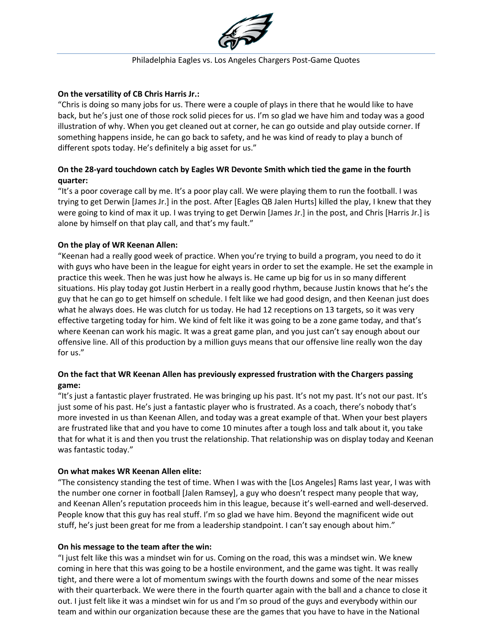

### **On the versatility of CB Chris Harris Jr.:**

"Chris is doing so many jobs for us. There were a couple of plays in there that he would like to have back, but he's just one of those rock solid pieces for us. I'm so glad we have him and today was a good illustration of why. When you get cleaned out at corner, he can go outside and play outside corner. If something happens inside, he can go back to safety, and he was kind of ready to play a bunch of different spots today. He's definitely a big asset for us."

## **On the 28-yard touchdown catch by Eagles WR Devonte Smith which tied the game in the fourth quarter:**

"It's a poor coverage call by me. It's a poor play call. We were playing them to run the football. I was trying to get Derwin [James Jr.] in the post. After [Eagles QB Jalen Hurts] killed the play, I knew that they were going to kind of max it up. I was trying to get Derwin [James Jr.] in the post, and Chris [Harris Jr.] is alone by himself on that play call, and that's my fault."

### **On the play of WR Keenan Allen:**

"Keenan had a really good week of practice. When you're trying to build a program, you need to do it with guys who have been in the league for eight years in order to set the example. He set the example in practice this week. Then he was just how he always is. He came up big for us in so many different situations. His play today got Justin Herbert in a really good rhythm, because Justin knows that he's the guy that he can go to get himself on schedule. I felt like we had good design, and then Keenan just does what he always does. He was clutch for us today. He had 12 receptions on 13 targets, so it was very effective targeting today for him. We kind of felt like it was going to be a zone game today, and that's where Keenan can work his magic. It was a great game plan, and you just can't say enough about our offensive line. All of this production by a million guys means that our offensive line really won the day for us."

## **On the fact that WR Keenan Allen has previously expressed frustration with the Chargers passing game:**

"It's just a fantastic player frustrated. He was bringing up his past. It's not my past. It's not our past. It's just some of his past. He's just a fantastic player who is frustrated. As a coach, there's nobody that's more invested in us than Keenan Allen, and today was a great example of that. When your best players are frustrated like that and you have to come 10 minutes after a tough loss and talk about it, you take that for what it is and then you trust the relationship. That relationship was on display today and Keenan was fantastic today."

### **On what makes WR Keenan Allen elite:**

"The consistency standing the test of time. When I was with the [Los Angeles] Rams last year, I was with the number one corner in football [Jalen Ramsey], a guy who doesn't respect many people that way, and Keenan Allen's reputation proceeds him in this league, because it's well-earned and well-deserved. People know that this guy has real stuff. I'm so glad we have him. Beyond the magnificent wide out stuff, he's just been great for me from a leadership standpoint. I can't say enough about him."

### **On his message to the team after the win:**

"I just felt like this was a mindset win for us. Coming on the road, this was a mindset win. We knew coming in here that this was going to be a hostile environment, and the game was tight. It was really tight, and there were a lot of momentum swings with the fourth downs and some of the near misses with their quarterback. We were there in the fourth quarter again with the ball and a chance to close it out. I just felt like it was a mindset win for us and I'm so proud of the guys and everybody within our team and within our organization because these are the games that you have to have in the National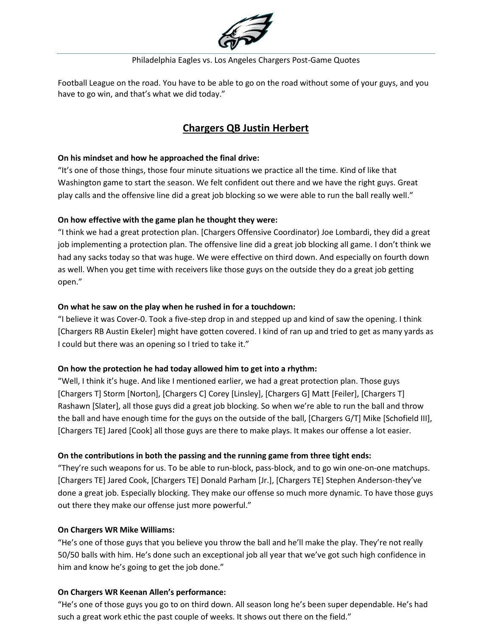

Football League on the road. You have to be able to go on the road without some of your guys, and you have to go win, and that's what we did today."

# **Chargers QB Justin Herbert**

### **On his mindset and how he approached the final drive:**

"It's one of those things, those four minute situations we practice all the time. Kind of like that Washington game to start the season. We felt confident out there and we have the right guys. Great play calls and the offensive line did a great job blocking so we were able to run the ball really well."

## **On how effective with the game plan he thought they were:**

"I think we had a great protection plan. [Chargers Offensive Coordinator) Joe Lombardi, they did a great job implementing a protection plan. The offensive line did a great job blocking all game. I don't think we had any sacks today so that was huge. We were effective on third down. And especially on fourth down as well. When you get time with receivers like those guys on the outside they do a great job getting open."

### **On what he saw on the play when he rushed in for a touchdown:**

"I believe it was Cover-0. Took a five-step drop in and stepped up and kind of saw the opening. I think [Chargers RB Austin Ekeler] might have gotten covered. I kind of ran up and tried to get as many yards as I could but there was an opening so I tried to take it."

## **On how the protection he had today allowed him to get into a rhythm:**

"Well, I think it's huge. And like I mentioned earlier, we had a great protection plan. Those guys [Chargers T] Storm [Norton], [Chargers C] Corey [Linsley], [Chargers G] Matt [Feiler], [Chargers T] Rashawn [Slater], all those guys did a great job blocking. So when we're able to run the ball and throw the ball and have enough time for the guys on the outside of the ball, [Chargers G/T] Mike [Schofield III], [Chargers TE] Jared [Cook] all those guys are there to make plays. It makes our offense a lot easier.

## **On the contributions in both the passing and the running game from three tight ends:**

"They're such weapons for us. To be able to run-block, pass-block, and to go win one-on-one matchups. [Chargers TE] Jared Cook, [Chargers TE] Donald Parham [Jr.], [Chargers TE] Stephen Anderson-they've done a great job. Especially blocking. They make our offense so much more dynamic. To have those guys out there they make our offense just more powerful."

### **On Chargers WR Mike Williams:**

"He's one of those guys that you believe you throw the ball and he'll make the play. They're not really 50/50 balls with him. He's done such an exceptional job all year that we've got such high confidence in him and know he's going to get the job done."

### **On Chargers WR Keenan Allen's performance:**

"He's one of those guys you go to on third down. All season long he's been super dependable. He's had such a great work ethic the past couple of weeks. It shows out there on the field."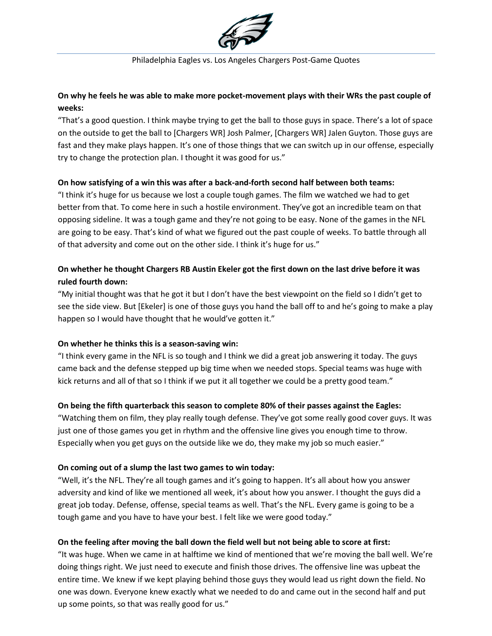

## **On why he feels he was able to make more pocket-movement plays with their WRs the past couple of weeks:**

"That's a good question. I think maybe trying to get the ball to those guys in space. There's a lot of space on the outside to get the ball to [Chargers WR] Josh Palmer, [Chargers WR] Jalen Guyton. Those guys are fast and they make plays happen. It's one of those things that we can switch up in our offense, especially try to change the protection plan. I thought it was good for us."

### **On how satisfying of a win this was after a back-and-forth second half between both teams:**

"I think it's huge for us because we lost a couple tough games. The film we watched we had to get better from that. To come here in such a hostile environment. They've got an incredible team on that opposing sideline. It was a tough game and they're not going to be easy. None of the games in the NFL are going to be easy. That's kind of what we figured out the past couple of weeks. To battle through all of that adversity and come out on the other side. I think it's huge for us."

## **On whether he thought Chargers RB Austin Ekeler got the first down on the last drive before it was ruled fourth down:**

"My initial thought was that he got it but I don't have the best viewpoint on the field so I didn't get to see the side view. But [Ekeler] is one of those guys you hand the ball off to and he's going to make a play happen so I would have thought that he would've gotten it."

### **On whether he thinks this is a season-saving win:**

"I think every game in the NFL is so tough and I think we did a great job answering it today. The guys came back and the defense stepped up big time when we needed stops. Special teams was huge with kick returns and all of that so I think if we put it all together we could be a pretty good team."

## **On being the fifth quarterback this season to complete 80% of their passes against the Eagles:**

"Watching them on film, they play really tough defense. They've got some really good cover guys. It was just one of those games you get in rhythm and the offensive line gives you enough time to throw. Especially when you get guys on the outside like we do, they make my job so much easier."

### **On coming out of a slump the last two games to win today:**

"Well, it's the NFL. They're all tough games and it's going to happen. It's all about how you answer adversity and kind of like we mentioned all week, it's about how you answer. I thought the guys did a great job today. Defense, offense, special teams as well. That's the NFL. Every game is going to be a tough game and you have to have your best. I felt like we were good today."

### **On the feeling after moving the ball down the field well but not being able to score at first:**

"It was huge. When we came in at halftime we kind of mentioned that we're moving the ball well. We're doing things right. We just need to execute and finish those drives. The offensive line was upbeat the entire time. We knew if we kept playing behind those guys they would lead us right down the field. No one was down. Everyone knew exactly what we needed to do and came out in the second half and put up some points, so that was really good for us."